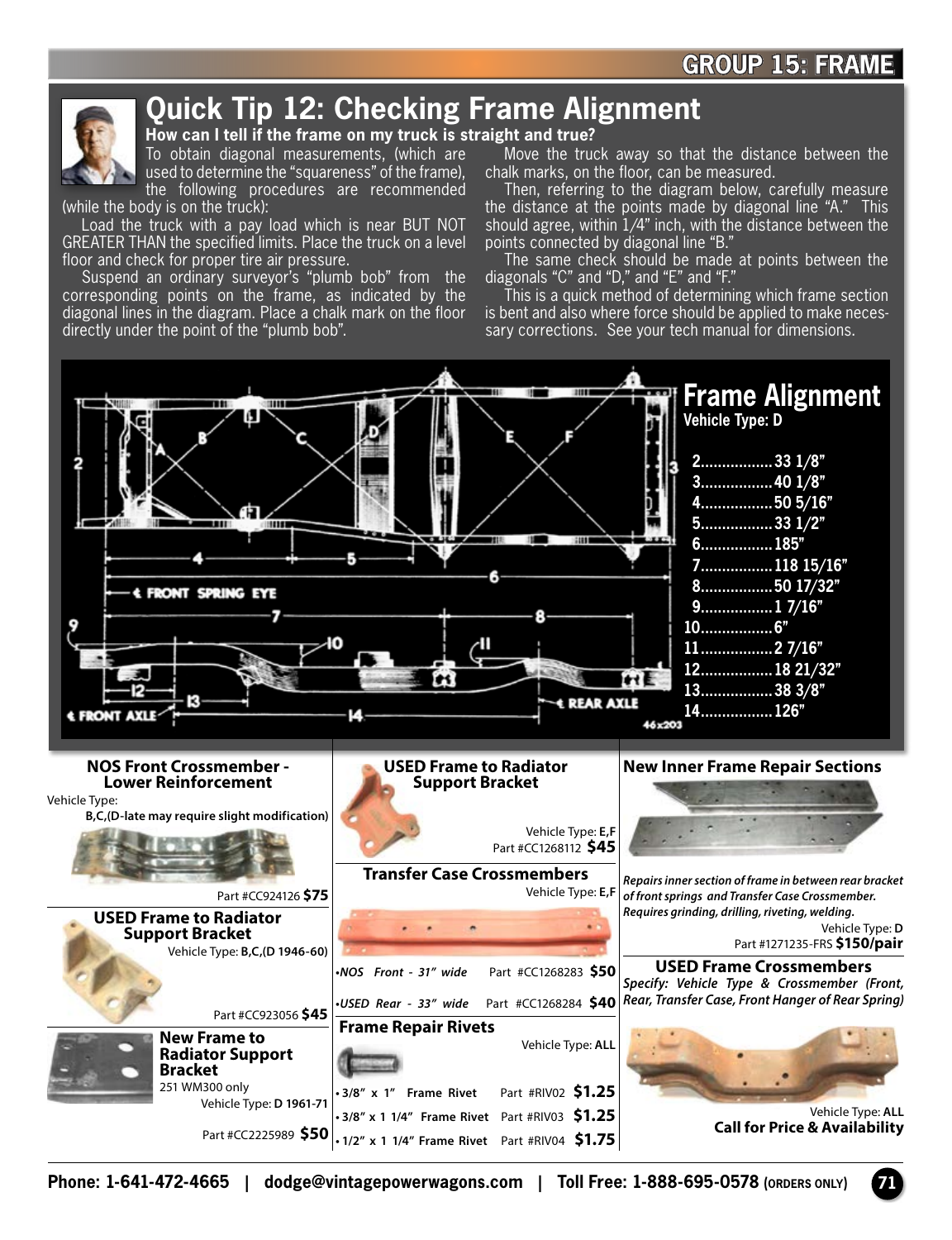

## **Quick Tip 12: Checking Frame Alignment**

**How can I tell if the frame on my truck is straight and true?** 

To obtain diagonal measurements, (which are used to determine the "squareness" of the frame), the following procedures are recommended

(while the body is on the truck):

Load the truck with a pay load which is near BUT NOT GREATER THAN the specified limits. Place the truck on a level floor and check for proper tire air pressure.

Suspend an ordinary surveyor's "plumb bob" from the corresponding points on the frame, as indicated by the diagonal lines in the diagram. Place a chalk mark on the floor directly under the point of the "plumb bob".

Move the truck away so that the distance between the chalk marks, on the floor, can be measured.

Then, referring to the diagram below, carefully measure the distance at the points made by diagonal line "A." This should agree, within 1/4" inch, with the distance between the points connected by diagonal line "B."

The same check should be made at points between the diagonals "C" and "D," and "E" and "F."

This is a quick method of determining which frame section is bent and also where force should be applied to make necessary corrections. See your tech manual for dimensions.



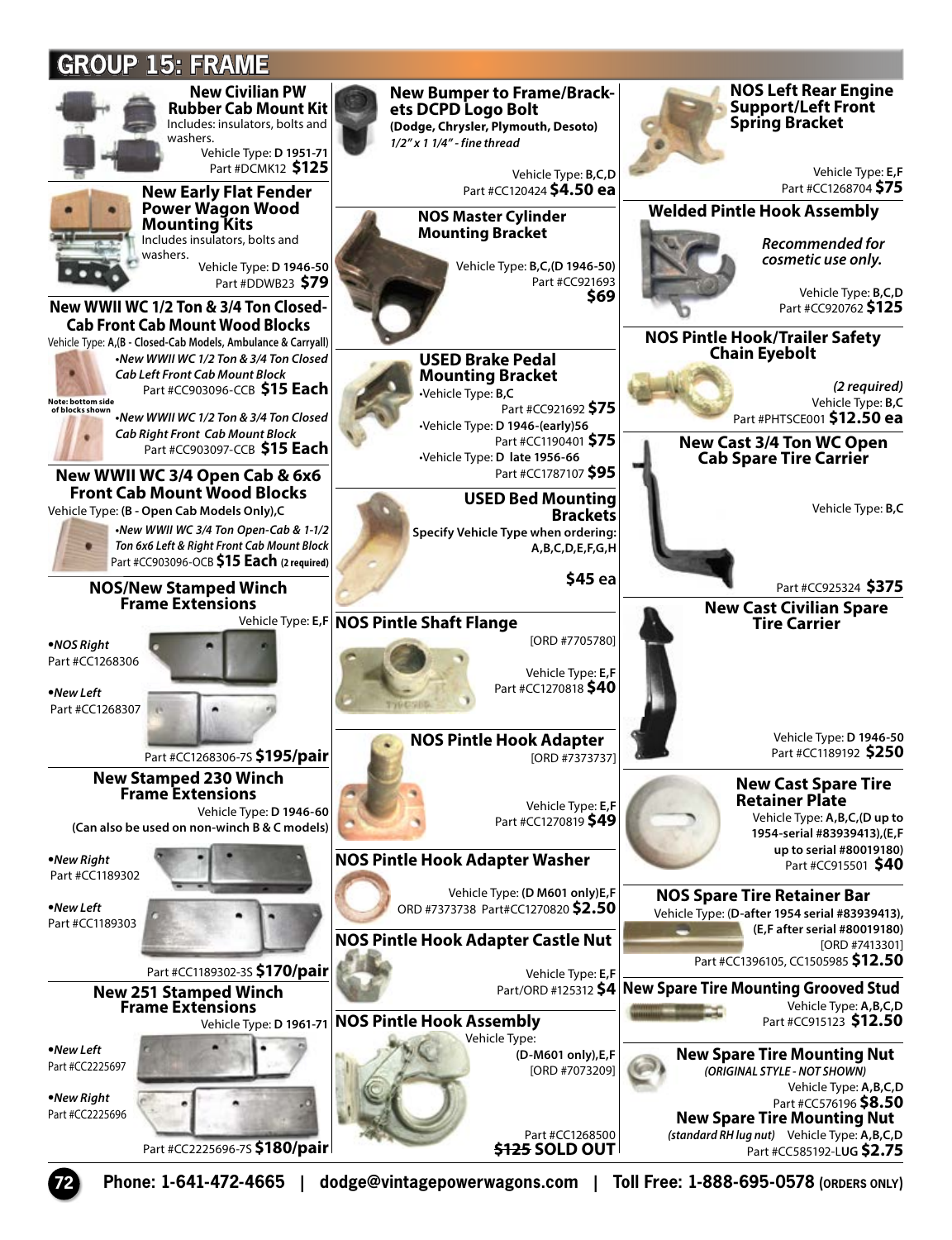## **GROUP 15: FRAMENew Civilian PW NOS Left Rear Engine New Bumper to Frame/Brack- ets DCPD Logo Bolt Support/Left Front Rubber Cab Mount Kit**  Includes: insulators, bolts and **(Dodge, Chrysler, Plymouth, Desoto) Spring Bracket**  washers. *1/2" x 1 1/4" - fine thread* Vehicle Type: **D 1951-71** Part #DCMK12 **\$125** Vehicle Type: **E,F**  Vehicle Type: **B,C,D**  Part #CC120424 **\$4.50 ea** Part #CC1268704 **\$75 New Early Flat Fender Power Wagon Wood Welded Pintle Hook Assembly NOS Master Cylinder Mounting Kits Mounting Bracket** Includes insulators, bolts and *Recommended for*  washers. *cosmetic use only.* Vehicle Type: **B,C,(D 1946-50)** Vehicle Type: **D 1946-50**  Part #CC921693 Part #DDWB23 **\$79** Vehicle Type: **B,C,D \$69 New WWII WC 1/2 Ton & 3/4 Ton Closed-** Part #CC920762 **\$125 Cab Front Cab Mount Wood Blocks NOS Pintle Hook/Trailer Safety Chain Eyebolt** Vehicle Type: **A,(B - Closed-Cab Models, Ambulance & Carryall)** *•New WWII WC 1/2 Ton & 3/4 Ton Closed*  **USED Brake Pedal**  *Cab Left Front Cab Mount Block*  c **Mounting Bracket** *(2 required)* Part #CC903096-CCB **\$15 Each** •Vehicle Type: **B,C**  Vehicle Type: **B,C of blocks shown** Part #CC921692 **\$75** Part #PHTSCE001 **\$12.50 ea** *•New WWII WC 1/2 Ton & 3/4 Ton Closed*  •Vehicle Type: **D 1946-(early)56**  *Cab Right Front Cab Mount Block*  Part #CC1190401 **\$75 New Cast 3/4 Ton WC Open**  Part #CC903097-CCB **\$15 Each** •Vehicle Type: **D late 1956-66 Cab Spare Tire Carrier** Part #CC1787107 **\$95 New WWII WC 3/4 Open Cab & 6x6 Front Cab Mount Wood Blocks USED Bed Mounting Brackets** Vehicle Type: **(B - Open Cab Models Only),C** Vehicle Type: **B,C** *•New WWII WC 3/4 Ton Open-Cab & 1-1/2* **Specify Vehicle Type when ordering:**  *Ton 6x6 Left & Right Front Cab Mount Block*  **A,B,C,D,E,F,G,H** Part #CC903096-OCB **\$15 Each (2 required) \$45 ea NOS/New Stamped Winch**  Part #CC925324 **\$375 Frame Extensions New Cast Civilian Spare**  Vehicle Type: **E,F NOS Pintle Shaft Flange Tire Carrier**  [ORD #7705780] **•***NOS Right* Part #CC1268306 Vehicle Type: **E,F**  Part #CC1270818 **\$40 •***New Left*  Part #CC1268307 na Vehicle Type: **D 1946-50 NOS Pintle Hook Adapter**  Part #CC1189192 **\$250** Part #CC1268306-7S **\$195/pair** [ORD #7373737] **New Stamped 230 Winch New Cast Spare Tire Frame Extensions Retainer Plate** Vehicle Type: **E,F**  Vehicle Type: **D 1946-60** Vehicle Type: **A,B,C,(D up to**  Part #CC1270819 **\$49 (Can also be used on non-winch B & C models) 1954-serial #83939413),(E,F up to serial #80019180) NOS Pintle Hook Adapter Washer •***New Right* Part #CC915501 **\$40** Part #CC1189302 Vehicle Type: **(D M601 only)E,F NOS Spare Tire Retainer Bar •***New Left* ORD #7373738 Part#CC1270820 **\$2.50** Vehicle Type: (**D-after 1954 serial #83939413),** Part #CC1189303 **(E,F after serial #80019180) NOS Pintle Hook Adapter Castle Nut** [ORD #7413301] Part #CC1396105, CC1505985 **\$12.50** Part #CC1189302-3S **\$170/pair** Vehicle Type: **E,F**  Part/ORD #125312 **\$4 New Spare Tire Mounting Grooved Stud New 251 Stamped Winch Frame Extensions** Vehicle Type: **A,B,C,D** Vehicle Type: **D 1961-71 NOS Pintle Hook Assembly** Part #CC915123 **\$12.50** Vehicle Type: **•***New Left*  **(D-M601 only),E,F New Spare Tire Mounting Nut** Part #CC2225697 [ORD #7073209] *(ORIGINAL STYLE - NOT SHOWN)*  Vehicle Type: **A,B,C,D •***New Right* Part #CC576196 **\$8.50**  Part #CC2225696 **New Spare Tire Mounting Nut** Part #CC1268500 *(standard RH lug nut)* Vehicle Type: **A,B,C,D** Part #CC2225696-7S **\$180/pair \$125 SOLD OUT** Part #CC585192-L**UG \$2.75**

**72 Phone: 1-641-472-4665 | dodge@vintagepowerwagons.com | Toll Free: 1-888-695-0578 (ORDERS ONLY)**